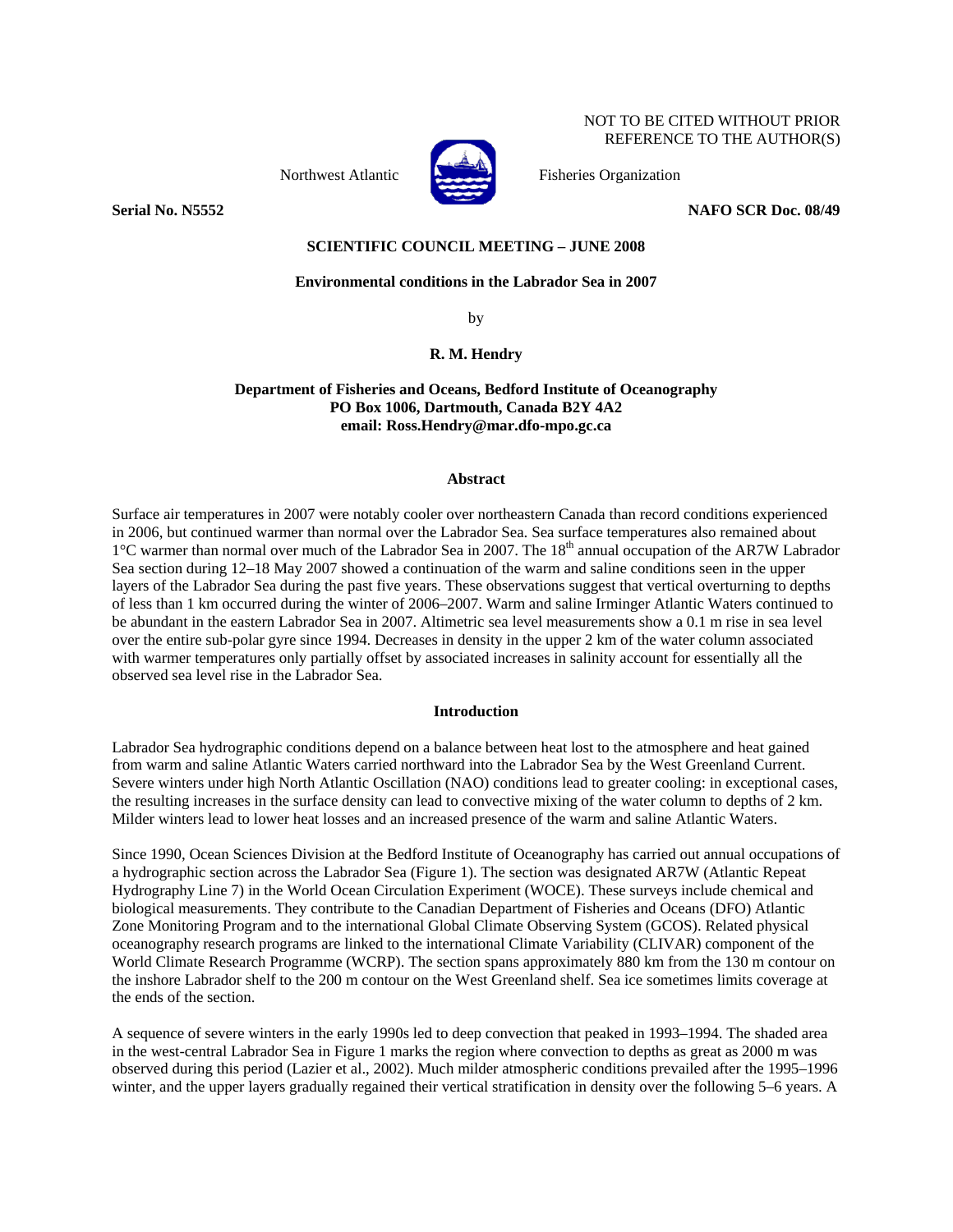Northwest Atlantic Fisheries Organization



NOT TO BE CITED WITHOUT PRIOR REFERENCE TO THE AUTHOR(S)

## **Serial No. N5552** NAFO SCR Doc. 08/49

# **SCIENTIFIC COUNCIL MEETING – JUNE 2008**

# **Environmental conditions in the Labrador Sea in 2007**

by

## **R. M. Hendry**

# **Department of Fisheries and Oceans, Bedford Institute of Oceanography PO Box 1006, Dartmouth, Canada B2Y 4A2 email: Ross.Hendry@mar.dfo-mpo.gc.ca**

### **Abstract**

Surface air temperatures in 2007 were notably cooler over northeastern Canada than record conditions experienced in 2006, but continued warmer than normal over the Labrador Sea. Sea surface temperatures also remained about <sup>1</sup>°C warmer than normal over much of the Labrador Sea in 2007. The 18<sup>th</sup> annual occupation of the AR7W Labrador Sea section during 12–18 May 2007 showed a continuation of the warm and saline conditions seen in the upper layers of the Labrador Sea during the past five years. These observations suggest that vertical overturning to depths of less than 1 km occurred during the winter of 2006–2007. Warm and saline Irminger Atlantic Waters continued to be abundant in the eastern Labrador Sea in 2007. Altimetric sea level measurements show a 0.1 m rise in sea level over the entire sub-polar gyre since 1994. Decreases in density in the upper 2 km of the water column associated with warmer temperatures only partially offset by associated increases in salinity account for essentially all the observed sea level rise in the Labrador Sea.

## **Introduction**

Labrador Sea hydrographic conditions depend on a balance between heat lost to the atmosphere and heat gained from warm and saline Atlantic Waters carried northward into the Labrador Sea by the West Greenland Current. Severe winters under high North Atlantic Oscillation (NAO) conditions lead to greater cooling: in exceptional cases, the resulting increases in the surface density can lead to convective mixing of the water column to depths of 2 km. Milder winters lead to lower heat losses and an increased presence of the warm and saline Atlantic Waters.

Since 1990, Ocean Sciences Division at the Bedford Institute of Oceanography has carried out annual occupations of a hydrographic section across the Labrador Sea (Figure 1). The section was designated AR7W (Atlantic Repeat Hydrography Line 7) in the World Ocean Circulation Experiment (WOCE). These surveys include chemical and biological measurements. They contribute to the Canadian Department of Fisheries and Oceans (DFO) Atlantic Zone Monitoring Program and to the international Global Climate Observing System (GCOS). Related physical oceanography research programs are linked to the international Climate Variability (CLIVAR) component of the World Climate Research Programme (WCRP). The section spans approximately 880 km from the 130 m contour on the inshore Labrador shelf to the 200 m contour on the West Greenland shelf. Sea ice sometimes limits coverage at the ends of the section.

A sequence of severe winters in the early 1990s led to deep convection that peaked in 1993–1994. The shaded area in the west-central Labrador Sea in Figure 1 marks the region where convection to depths as great as 2000 m was observed during this period (Lazier et al., 2002). Much milder atmospheric conditions prevailed after the 1995–1996 winter, and the upper layers gradually regained their vertical stratification in density over the following 5–6 years. A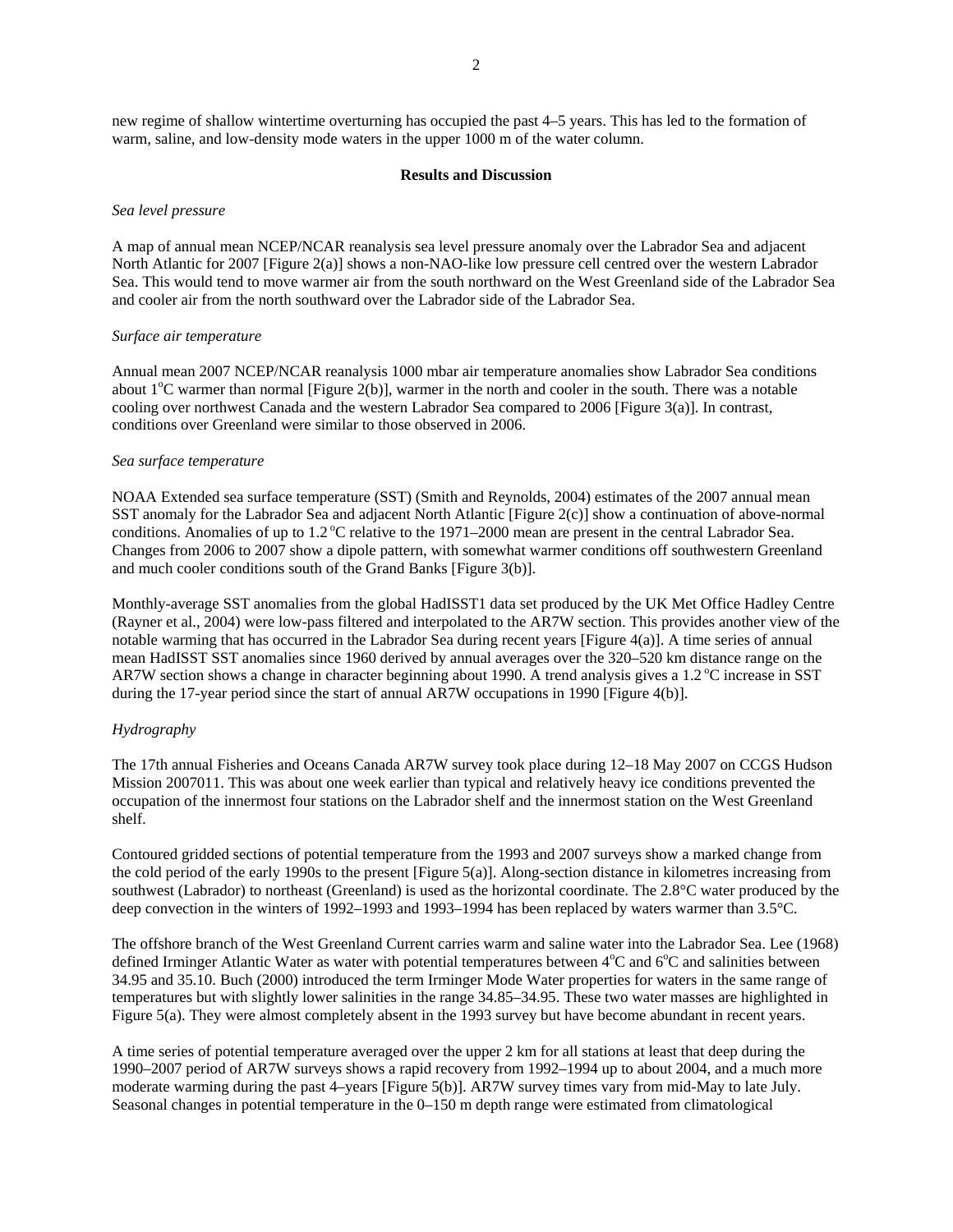new regime of shallow wintertime overturning has occupied the past 4–5 years. This has led to the formation of warm, saline, and low-density mode waters in the upper 1000 m of the water column.

#### **Results and Discussion**

### *Sea level pressure*

A map of annual mean NCEP/NCAR reanalysis sea level pressure anomaly over the Labrador Sea and adjacent North Atlantic for 2007 [Figure 2(a)] shows a non-NAO-like low pressure cell centred over the western Labrador Sea. This would tend to move warmer air from the south northward on the West Greenland side of the Labrador Sea and cooler air from the north southward over the Labrador side of the Labrador Sea.

#### *Surface air temperature*

Annual mean 2007 NCEP/NCAR reanalysis 1000 mbar air temperature anomalies show Labrador Sea conditions about  $1^{\circ}$ C warmer than normal [Figure 2(b)], warmer in the north and cooler in the south. There was a notable cooling over northwest Canada and the western Labrador Sea compared to 2006 [Figure 3(a)]. In contrast, conditions over Greenland were similar to those observed in 2006.

#### *Sea surface temperature*

NOAA Extended sea surface temperature (SST) (Smith and Reynolds, 2004) estimates of the 2007 annual mean SST anomaly for the Labrador Sea and adjacent North Atlantic [Figure 2(c)] show a continuation of above-normal conditions. Anomalies of up to  $1.2^{\circ}$ C relative to the 1971–2000 mean are present in the central Labrador Sea. Changes from 2006 to 2007 show a dipole pattern, with somewhat warmer conditions off southwestern Greenland and much cooler conditions south of the Grand Banks [Figure 3(b)].

Monthly-average SST anomalies from the global HadISST1 data set produced by the UK Met Office Hadley Centre (Rayner et al., 2004) were low-pass filtered and interpolated to the AR7W section. This provides another view of the notable warming that has occurred in the Labrador Sea during recent years [Figure 4(a)]. A time series of annual mean HadISST SST anomalies since 1960 derived by annual averages over the 320–520 km distance range on the AR7W section shows a change in character beginning about 1990. A trend analysis gives a 1.2 °C increase in SST during the 17-year period since the start of annual AR7W occupations in 1990 [Figure 4(b)].

## *Hydrography*

The 17th annual Fisheries and Oceans Canada AR7W survey took place during 12–18 May 2007 on CCGS Hudson Mission 2007011. This was about one week earlier than typical and relatively heavy ice conditions prevented the occupation of the innermost four stations on the Labrador shelf and the innermost station on the West Greenland shelf.

Contoured gridded sections of potential temperature from the 1993 and 2007 surveys show a marked change from the cold period of the early 1990s to the present [Figure 5(a)]. Along-section distance in kilometres increasing from southwest (Labrador) to northeast (Greenland) is used as the horizontal coordinate. The 2.8°C water produced by the deep convection in the winters of 1992–1993 and 1993–1994 has been replaced by waters warmer than 3.5°C.

The offshore branch of the West Greenland Current carries warm and saline water into the Labrador Sea. Lee (1968) defined Irminger Atlantic Water as water with potential temperatures between  $4^{\circ}$ C and  $6^{\circ}$ C and salinities between 34.95 and 35.10. Buch (2000) introduced the term Irminger Mode Water properties for waters in the same range of temperatures but with slightly lower salinities in the range 34.85–34.95. These two water masses are highlighted in Figure 5(a). They were almost completely absent in the 1993 survey but have become abundant in recent years.

A time series of potential temperature averaged over the upper 2 km for all stations at least that deep during the 1990–2007 period of AR7W surveys shows a rapid recovery from 1992–1994 up to about 2004, and a much more moderate warming during the past 4–years [Figure 5(b)]. AR7W survey times vary from mid-May to late July. Seasonal changes in potential temperature in the 0–150 m depth range were estimated from climatological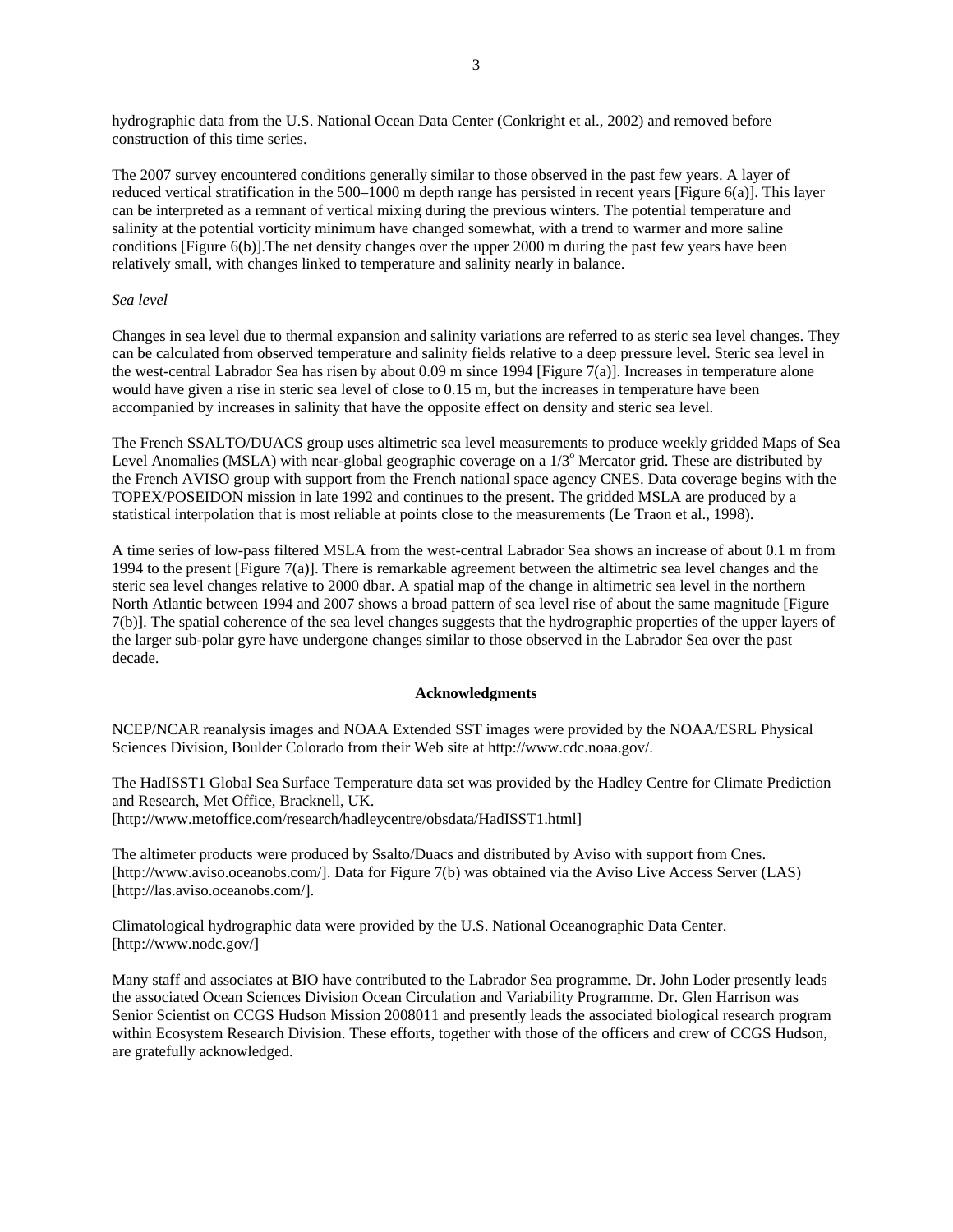hydrographic data from the U.S. National Ocean Data Center (Conkright et al., 2002) and removed before construction of this time series.

The 2007 survey encountered conditions generally similar to those observed in the past few years. A layer of reduced vertical stratification in the 500–1000 m depth range has persisted in recent years [Figure 6(a)]. This layer can be interpreted as a remnant of vertical mixing during the previous winters. The potential temperature and salinity at the potential vorticity minimum have changed somewhat, with a trend to warmer and more saline conditions [Figure 6(b)].The net density changes over the upper 2000 m during the past few years have been relatively small, with changes linked to temperature and salinity nearly in balance.

## *Sea level*

Changes in sea level due to thermal expansion and salinity variations are referred to as steric sea level changes. They can be calculated from observed temperature and salinity fields relative to a deep pressure level. Steric sea level in the west-central Labrador Sea has risen by about 0.09 m since 1994 [Figure 7(a)]. Increases in temperature alone would have given a rise in steric sea level of close to 0.15 m, but the increases in temperature have been accompanied by increases in salinity that have the opposite effect on density and steric sea level.

The French SSALTO/DUACS group uses altimetric sea level measurements to produce weekly gridded Maps of Sea Level Anomalies (MSLA) with near-global geographic coverage on a 1/3<sup>°</sup> Mercator grid. These are distributed by the French AVISO group with support from the French national space agency CNES. Data coverage begins with the TOPEX/POSEIDON mission in late 1992 and continues to the present. The gridded MSLA are produced by a statistical interpolation that is most reliable at points close to the measurements (Le Traon et al., 1998).

A time series of low-pass filtered MSLA from the west-central Labrador Sea shows an increase of about 0.1 m from 1994 to the present [Figure 7(a)]. There is remarkable agreement between the altimetric sea level changes and the steric sea level changes relative to 2000 dbar. A spatial map of the change in altimetric sea level in the northern North Atlantic between 1994 and 2007 shows a broad pattern of sea level rise of about the same magnitude [Figure 7(b)]. The spatial coherence of the sea level changes suggests that the hydrographic properties of the upper layers of the larger sub-polar gyre have undergone changes similar to those observed in the Labrador Sea over the past decade.

## **Acknowledgments**

NCEP/NCAR reanalysis images and NOAA Extended SST images were provided by the NOAA/ESRL Physical Sciences Division, Boulder Colorado from their Web site at http://www.cdc.noaa.gov/.

The HadISST1 Global Sea Surface Temperature data set was provided by the Hadley Centre for Climate Prediction and Research, Met Office, Bracknell, UK. [http://www.metoffice.com/research/hadleycentre/obsdata/HadISST1.html]

The altimeter products were produced by Ssalto/Duacs and distributed by Aviso with support from Cnes. [http://www.aviso.oceanobs.com/]. Data for Figure 7(b) was obtained via the Aviso Live Access Server (LAS) [http://las.aviso.oceanobs.com/].

Climatological hydrographic data were provided by the U.S. National Oceanographic Data Center. [http://www.nodc.gov/]

Many staff and associates at BIO have contributed to the Labrador Sea programme. Dr. John Loder presently leads the associated Ocean Sciences Division Ocean Circulation and Variability Programme. Dr. Glen Harrison was Senior Scientist on CCGS Hudson Mission 2008011 and presently leads the associated biological research program within Ecosystem Research Division. These efforts, together with those of the officers and crew of CCGS Hudson, are gratefully acknowledged.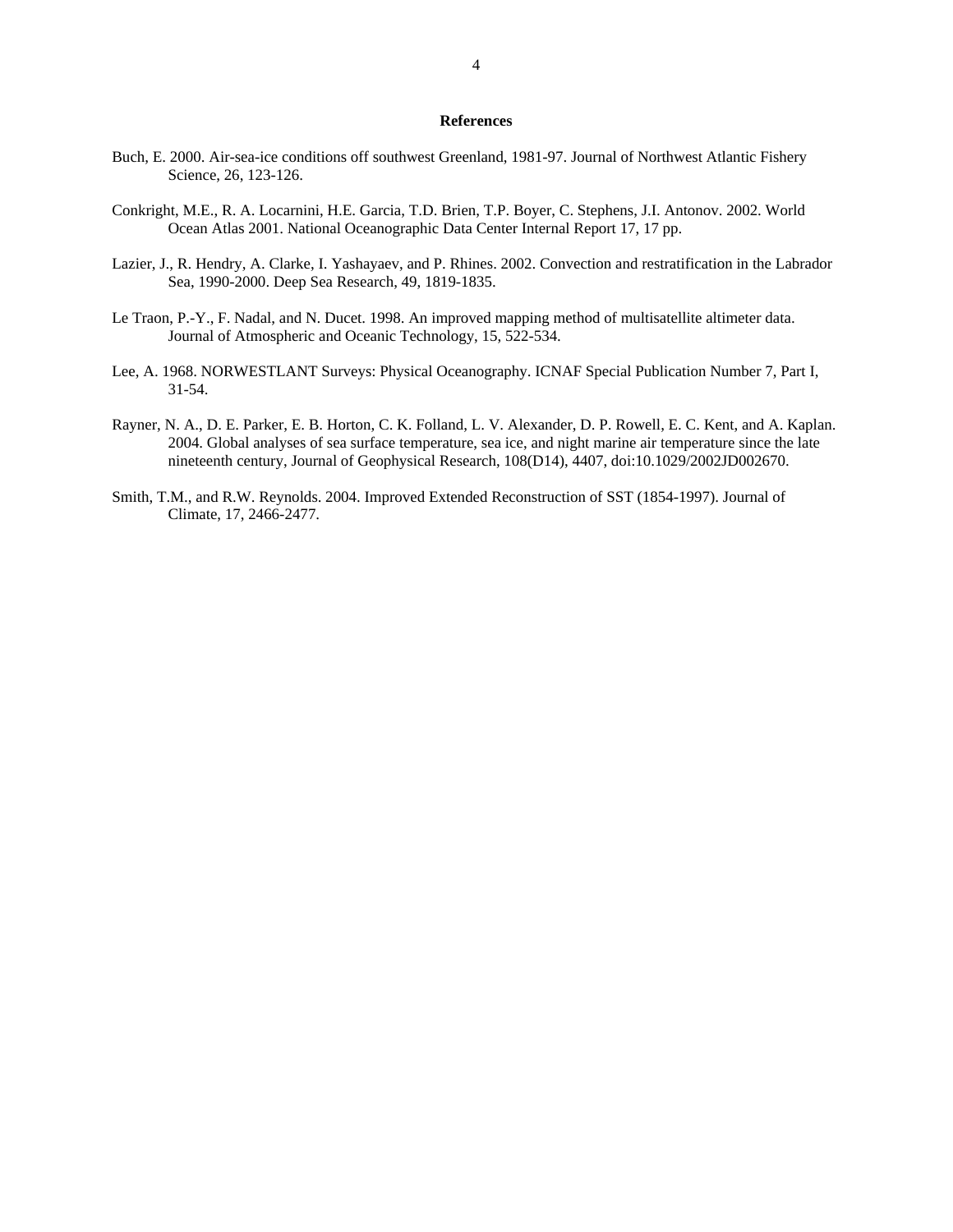## **References**

- Buch, E. 2000. Air-sea-ice conditions off southwest Greenland, 1981-97. Journal of Northwest Atlantic Fishery Science, 26, 123-126.
- Conkright, M.E., R. A. Locarnini, H.E. Garcia, T.D. Brien, T.P. Boyer, C. Stephens, J.I. Antonov. 2002. World Ocean Atlas 2001. National Oceanographic Data Center Internal Report 17, 17 pp.
- Lazier, J., R. Hendry, A. Clarke, I. Yashayaev, and P. Rhines. 2002. Convection and restratification in the Labrador Sea, 1990-2000. Deep Sea Research, 49, 1819-1835.
- Le Traon, P.-Y., F. Nadal, and N. Ducet. 1998. An improved mapping method of multisatellite altimeter data. Journal of Atmospheric and Oceanic Technology, 15, 522-534.
- Lee, A. 1968. NORWESTLANT Surveys: Physical Oceanography. ICNAF Special Publication Number 7, Part I, 31-54.
- Rayner, N. A., D. E. Parker, E. B. Horton, C. K. Folland, L. V. Alexander, D. P. Rowell, E. C. Kent, and A. Kaplan. 2004. Global analyses of sea surface temperature, sea ice, and night marine air temperature since the late nineteenth century, Journal of Geophysical Research, 108(D14), 4407, doi:10.1029/2002JD002670.
- Smith, T.M., and R.W. Reynolds. 2004. Improved Extended Reconstruction of SST (1854-1997). Journal of Climate, 17, 2466-2477.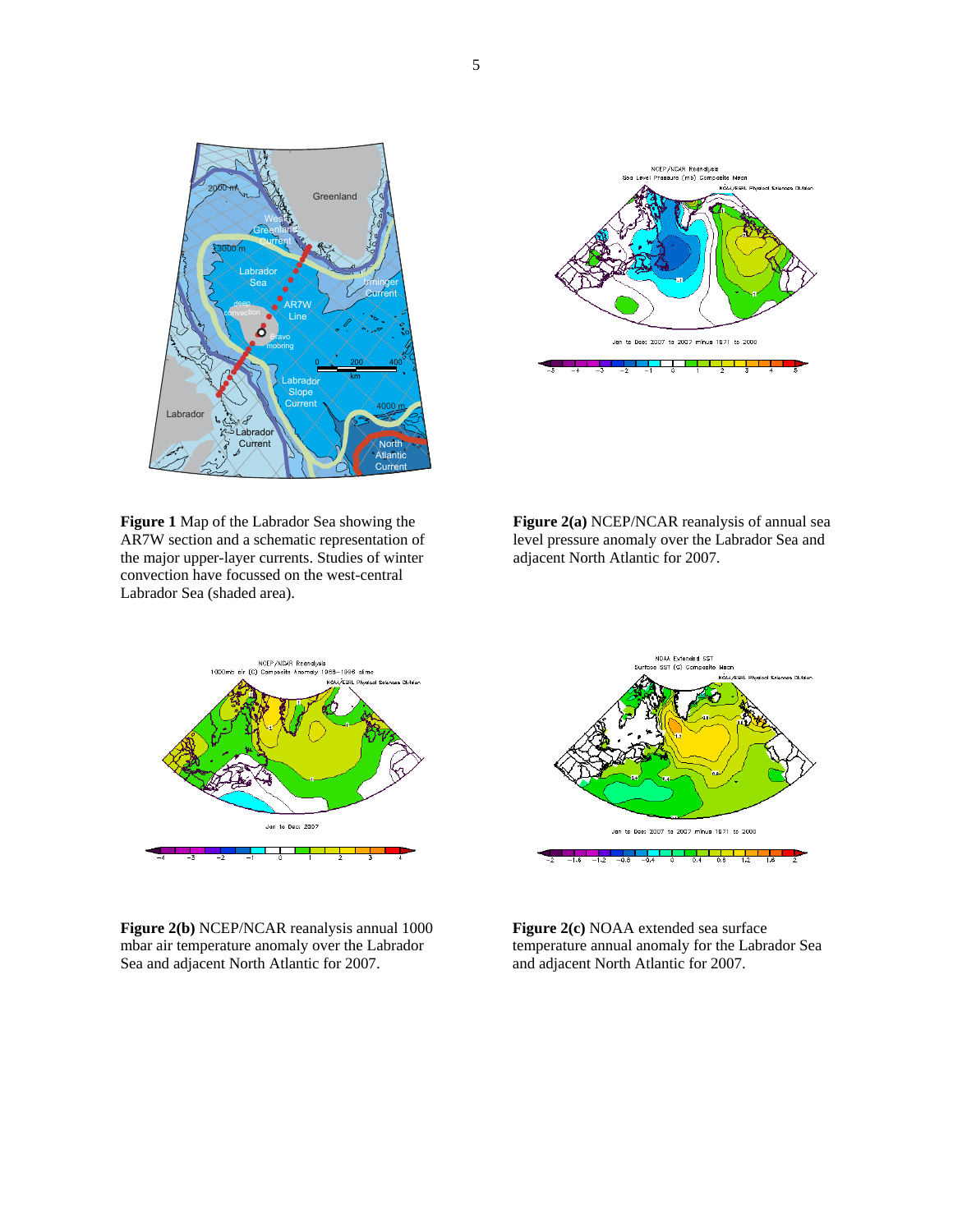



**Figure 1** Map of the Labrador Sea showing the AR7W section and a schematic representation of the major upper-layer currents. Studies of winter convection have focussed on the west-central Labrador Sea (shaded area).

**Figure 2(a)** NCEP/NCAR reanalysis of annual sea level pressure anomaly over the Labrador Sea and adjacent North Atlantic for 2007.



**Figure 2(b)** NCEP/NCAR reanalysis annual 1000 mbar air temperature anomaly over the Labrador Sea and adjacent North Atlantic for 2007.



**Figure 2(c)** NOAA extended sea surface temperature annual anomaly for the Labrador Sea and adjacent North Atlantic for 2007.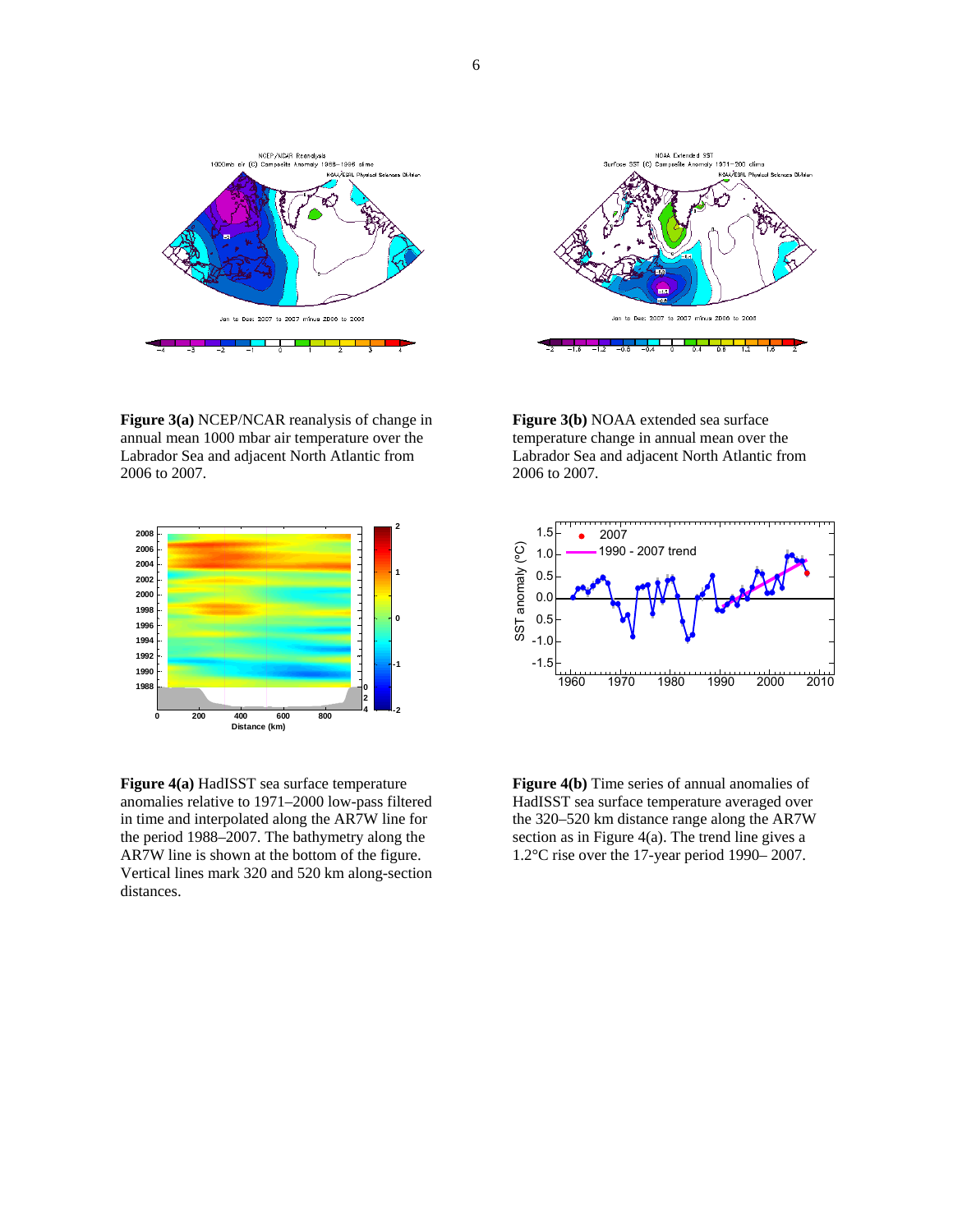

**Figure 3(a)** NCEP/NCAR reanalysis of change in annual mean 1000 mbar air temperature over the Labrador Sea and adjacent North Atlantic from 2006 to 2007.



**Figure 4(a)** HadISST sea surface temperature anomalies relative to 1971–2000 low-pass filtered in time and interpolated along the AR7W line for the period 1988–2007. The bathymetry along the AR7W line is shown at the bottom of the figure. Vertical lines mark 320 and 520 km along-section distances.



**Figure 3(b)** NOAA extended sea surface temperature change in annual mean over the Labrador Sea and adjacent North Atlantic from 2006 to 2007.



**Figure 4(b)** Time series of annual anomalies of HadISST sea surface temperature averaged over the 320–520 km distance range along the AR7W section as in Figure 4(a). The trend line gives a 1.2°C rise over the 17-year period 1990– 2007.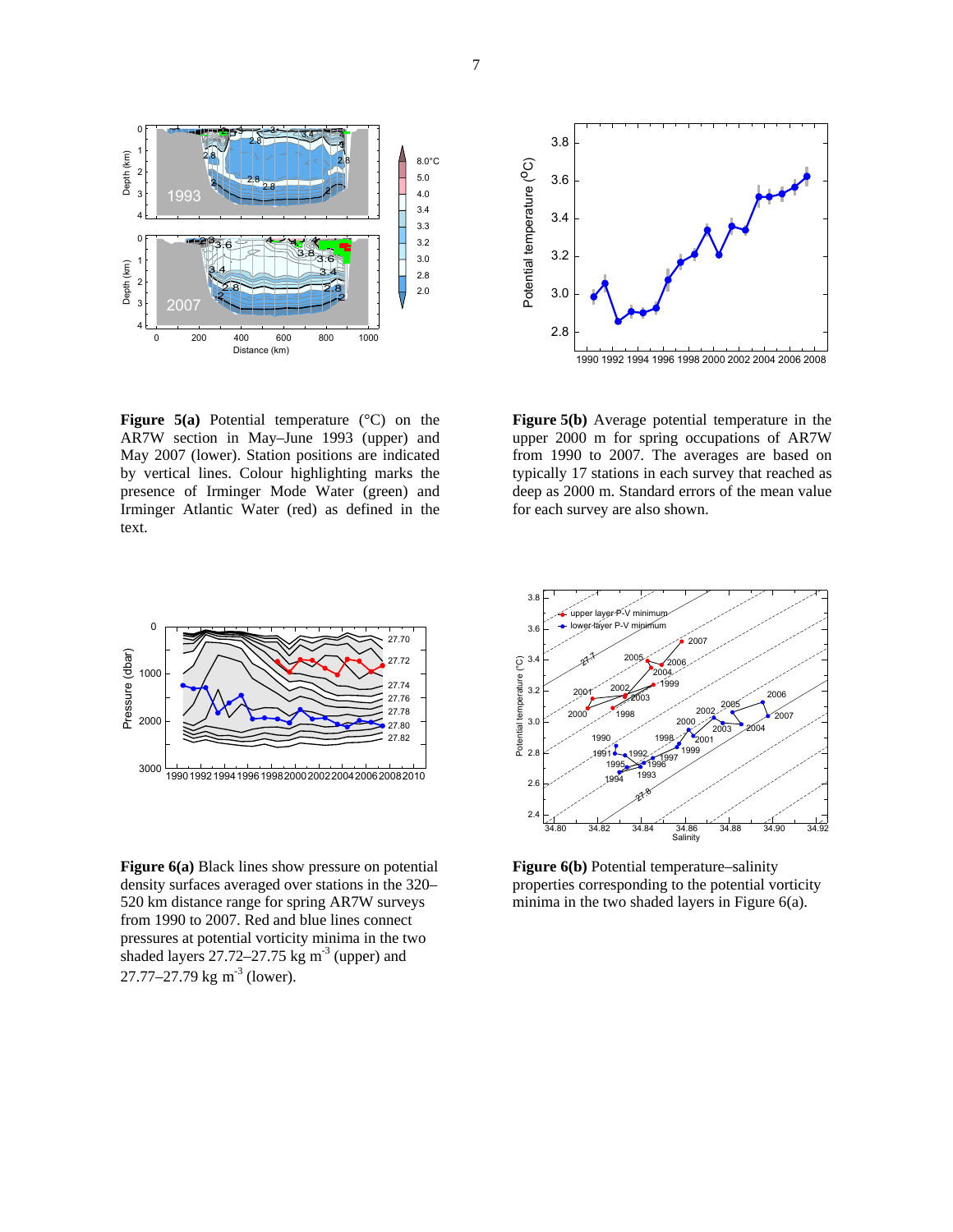

**Figure 5(a)** Potential temperature (°C) on the AR7W section in May–June 1993 (upper) and May 2007 (lower). Station positions are indicated by vertical lines. Colour highlighting marks the presence of Irminger Mode Water (green) and Irminger Atlantic Water (red) as defined in the text.



**Figure 5(b)** Average potential temperature in the upper 2000 m for spring occupations of AR7W from 1990 to 2007. The averages are based on typically 17 stations in each survey that reached as deep as 2000 m. Standard errors of the mean value for each survey are also shown.



**Figure 6(a)** Black lines show pressure on potential density surfaces averaged over stations in the 320– 520 km distance range for spring AR7W surveys from 1990 to 2007. Red and blue lines connect pressures at potential vorticity minima in the two shaded layers  $27.72 - 27.75$  kg m<sup>-3</sup> (upper) and  $27.77 - 27.79$  kg m<sup>-3</sup> (lower).



**Figure 6(b)** Potential temperature–salinity properties corresponding to the potential vorticity minima in the two shaded layers in Figure 6(a).